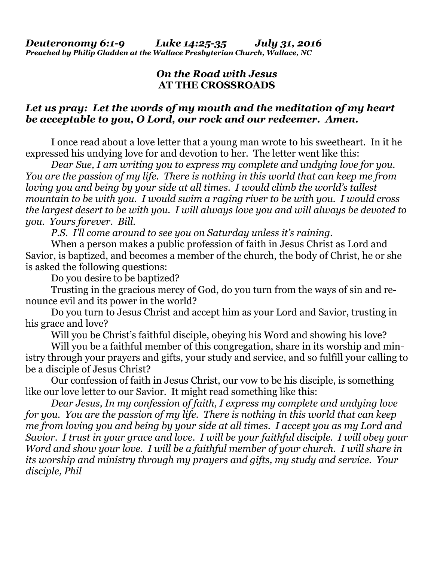## *On the Road with Jesus*  **AT THE CROSSROADS**

## *Let us pray: Let the words of my mouth and the meditation of my heart be acceptable to you, O Lord, our rock and our redeemer. Amen.*

I once read about a love letter that a young man wrote to his sweetheart. In it he expressed his undying love for and devotion to her. The letter went like this:

*Dear Sue, I am writing you to express my complete and undying love for you. You are the passion of my life. There is nothing in this world that can keep me from loving you and being by your side at all times. I would climb the world's tallest mountain to be with you. I would swim a raging river to be with you. I would cross the largest desert to be with you. I will always love you and will always be devoted to you. Yours forever. Bill.* 

 *P.S. I'll come around to see you on Saturday unless it's raining.* 

When a person makes a public profession of faith in Jesus Christ as Lord and Savior, is baptized, and becomes a member of the church, the body of Christ, he or she is asked the following questions:

Do you desire to be baptized?

 Trusting in the gracious mercy of God, do you turn from the ways of sin and renounce evil and its power in the world?

 Do you turn to Jesus Christ and accept him as your Lord and Savior, trusting in his grace and love?

Will you be Christ's faithful disciple, obeying his Word and showing his love?

Will you be a faithful member of this congregation, share in its worship and ministry through your prayers and gifts, your study and service, and so fulfill your calling to be a disciple of Jesus Christ?

 Our confession of faith in Jesus Christ, our vow to be his disciple, is something like our love letter to our Savior. It might read something like this:

*Dear Jesus, In my confession of faith, I express my complete and undying love for you. You are the passion of my life. There is nothing in this world that can keep me from loving you and being by your side at all times. I accept you as my Lord and Savior. I trust in your grace and love. I will be your faithful disciple. I will obey your Word and show your love. I will be a faithful member of your church. I will share in its worship and ministry through my prayers and gifts, my study and service. Your disciple, Phil*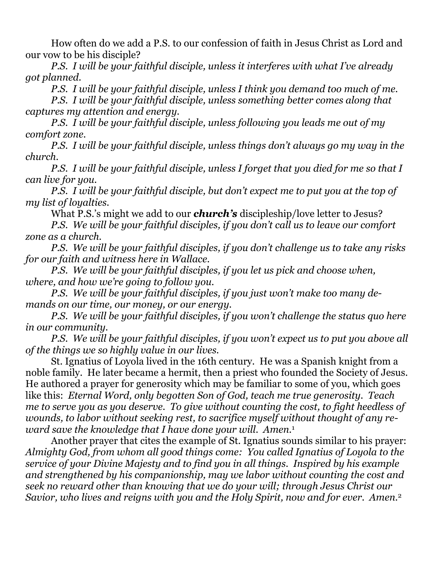How often do we add a P.S. to our confession of faith in Jesus Christ as Lord and our vow to be his disciple?

*P.S. I will be your faithful disciple, unless it interferes with what I've already got planned.* 

*P.S. I will be your faithful disciple, unless I think you demand too much of me.* 

*P.S. I will be your faithful disciple, unless something better comes along that captures my attention and energy.* 

*P.S. I will be your faithful disciple, unless following you leads me out of my comfort zone.* 

*P.S. I will be your faithful disciple, unless things don't always go my way in the church.* 

*P.S. I will be your faithful disciple, unless I forget that you died for me so that I can live for you.* 

 *P.S. I will be your faithful disciple, but don't expect me to put you at the top of my list of loyalties.* 

What P.S.'s might we add to our *church's* discipleship/love letter to Jesus?

*P.S. We will be your faithful disciples, if you don't call us to leave our comfort zone as a church.*

 *P.S. We will be your faithful disciples, if you don't challenge us to take any risks for our faith and witness here in Wallace.*

 *P.S. We will be your faithful disciples, if you let us pick and choose when, where, and how we're going to follow you.*

 *P.S. We will be your faithful disciples, if you just won't make too many demands on our time, our money, or our energy.*

 *P.S. We will be your faithful disciples, if you won't challenge the status quo here in our community.*

 *P.S. We will be your faithful disciples, if you won't expect us to put you above all of the things we so highly value in our lives.* 

St. Ignatius of Loyola lived in the 16th century. He was a Spanish knight from a noble family. He later became a hermit, then a priest who founded the Society of Jesus. He authored a prayer for generosity which may be familiar to some of you, which goes like this: *Eternal Word, only begotten Son of God, teach me true generosity. Teach me to serve you as you deserve. To give without counting the cost, to fight heedless of wounds, to labor without seeking rest, to sacrifice myself without thought of any reward save the knowledge that I have done your will. Amen.*<sup>1</sup>

Another prayer that cites the example of St. Ignatius sounds similar to his prayer: *Almighty God, from whom all good things come: You called Ignatius of Loyola to the service of your Divine Majesty and to find you in all things. Inspired by his example and strengthened by his companionship, may we labor without counting the cost and seek no reward other than knowing that we do your will; through Jesus Christ our Savior, who lives and reigns with you and the Holy Spirit, now and for ever. Amen.*2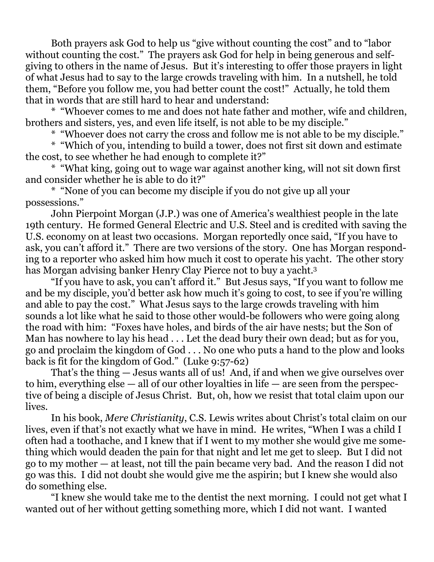Both prayers ask God to help us "give without counting the cost" and to "labor without counting the cost." The prayers ask God for help in being generous and selfgiving to others in the name of Jesus. But it's interesting to offer those prayers in light of what Jesus had to say to the large crowds traveling with him. In a nutshell, he told them, "Before you follow me, you had better count the cost!" Actually, he told them that in words that are still hard to hear and understand:

 \* "Whoever comes to me and does not hate father and mother, wife and children, brothers and sisters, yes, and even life itself, is not able to be my disciple."

\* "Whoever does not carry the cross and follow me is not able to be my disciple."

 \* "Which of you, intending to build a tower, does not first sit down and estimate the cost, to see whether he had enough to complete it?"

 \* "What king, going out to wage war against another king, will not sit down first and consider whether he is able to do it?"

 \* "None of you can become my disciple if you do not give up all your possessions."

 John Pierpoint Morgan (J.P.) was one of America's wealthiest people in the late 19th century. He formed General Electric and U.S. Steel and is credited with saving the U.S. economy on at least two occasions. Morgan reportedly once said, "If you have to ask, you can't afford it." There are two versions of the story. One has Morgan responding to a reporter who asked him how much it cost to operate his yacht. The other story has Morgan advising banker Henry Clay Pierce not to buy a yacht.3

 "If you have to ask, you can't afford it." But Jesus says, "If you want to follow me and be my disciple, you'd better ask how much it's going to cost, to see if you're willing and able to pay the cost." What Jesus says to the large crowds traveling with him sounds a lot like what he said to those other would-be followers who were going along the road with him: "Foxes have holes, and birds of the air have nests; but the Son of Man has nowhere to lay his head . . . Let the dead bury their own dead; but as for you, go and proclaim the kingdom of God . . . No one who puts a hand to the plow and looks back is fit for the kingdom of God." (Luke 9:57-62)

 That's the thing — Jesus wants all of us! And, if and when we give ourselves over to him, everything else — all of our other loyalties in life — are seen from the perspective of being a disciple of Jesus Christ. But, oh, how we resist that total claim upon our lives.

 In his book, *Mere Christianity*, C.S. Lewis writes about Christ's total claim on our lives, even if that's not exactly what we have in mind. He writes, "When I was a child I often had a toothache, and I knew that if I went to my mother she would give me something which would deaden the pain for that night and let me get to sleep. But I did not go to my mother — at least, not till the pain became very bad. And the reason I did not go was this. I did not doubt she would give me the aspirin; but I knew she would also do something else.

 "I knew she would take me to the dentist the next morning. I could not get what I wanted out of her without getting something more, which I did not want. I wanted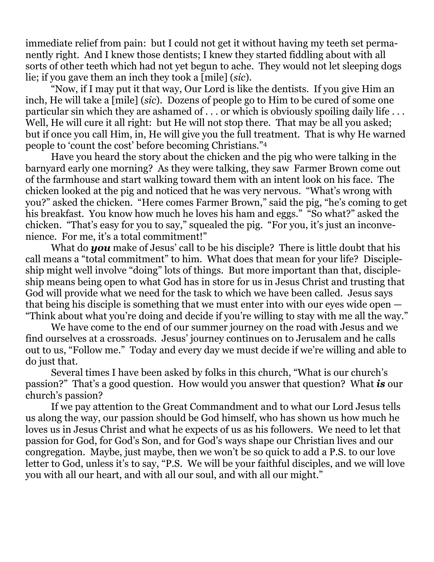immediate relief from pain: but I could not get it without having my teeth set permanently right. And I knew those dentists; I knew they started fiddling about with all sorts of other teeth which had not yet begun to ache. They would not let sleeping dogs lie; if you gave them an inch they took a [mile] (*sic*).

 "Now, if I may put it that way, Our Lord is like the dentists. If you give Him an inch, He will take a [mile] (*sic*). Dozens of people go to Him to be cured of some one particular sin which they are ashamed of . . . or which is obviously spoiling daily life . . . Well, He will cure it all right: but He will not stop there. That may be all you asked; but if once you call Him, in, He will give you the full treatment. That is why He warned people to 'count the cost' before becoming Christians."4

 Have you heard the story about the chicken and the pig who were talking in the barnyard early one morning? As they were talking, they saw Farmer Brown come out of the farmhouse and start walking toward them with an intent look on his face. The chicken looked at the pig and noticed that he was very nervous. "What's wrong with you?" asked the chicken. "Here comes Farmer Brown," said the pig, "he's coming to get his breakfast. You know how much he loves his ham and eggs." "So what?" asked the chicken. "That's easy for you to say," squealed the pig. "For you, it's just an inconvenience. For me, it's a total commitment!"

What do **you** make of Jesus' call to be his disciple? There is little doubt that his call means a "total commitment" to him. What does that mean for your life? Discipleship might well involve "doing" lots of things. But more important than that, discipleship means being open to what God has in store for us in Jesus Christ and trusting that God will provide what we need for the task to which we have been called. Jesus says that being his disciple is something that we must enter into with our eyes wide open — "Think about what you're doing and decide if you're willing to stay with me all the way."

 We have come to the end of our summer journey on the road with Jesus and we find ourselves at a crossroads. Jesus' journey continues on to Jerusalem and he calls out to us, "Follow me." Today and every day we must decide if we're willing and able to do just that.

 Several times I have been asked by folks in this church, "What is our church's passion?" That's a good question. How would you answer that question? What *is* our church's passion?

 If we pay attention to the Great Commandment and to what our Lord Jesus tells us along the way, our passion should be God himself, who has shown us how much he loves us in Jesus Christ and what he expects of us as his followers. We need to let that passion for God, for God's Son, and for God's ways shape our Christian lives and our congregation. Maybe, just maybe, then we won't be so quick to add a P.S. to our love letter to God, unless it's to say, "P.S. We will be your faithful disciples, and we will love you with all our heart, and with all our soul, and with all our might."